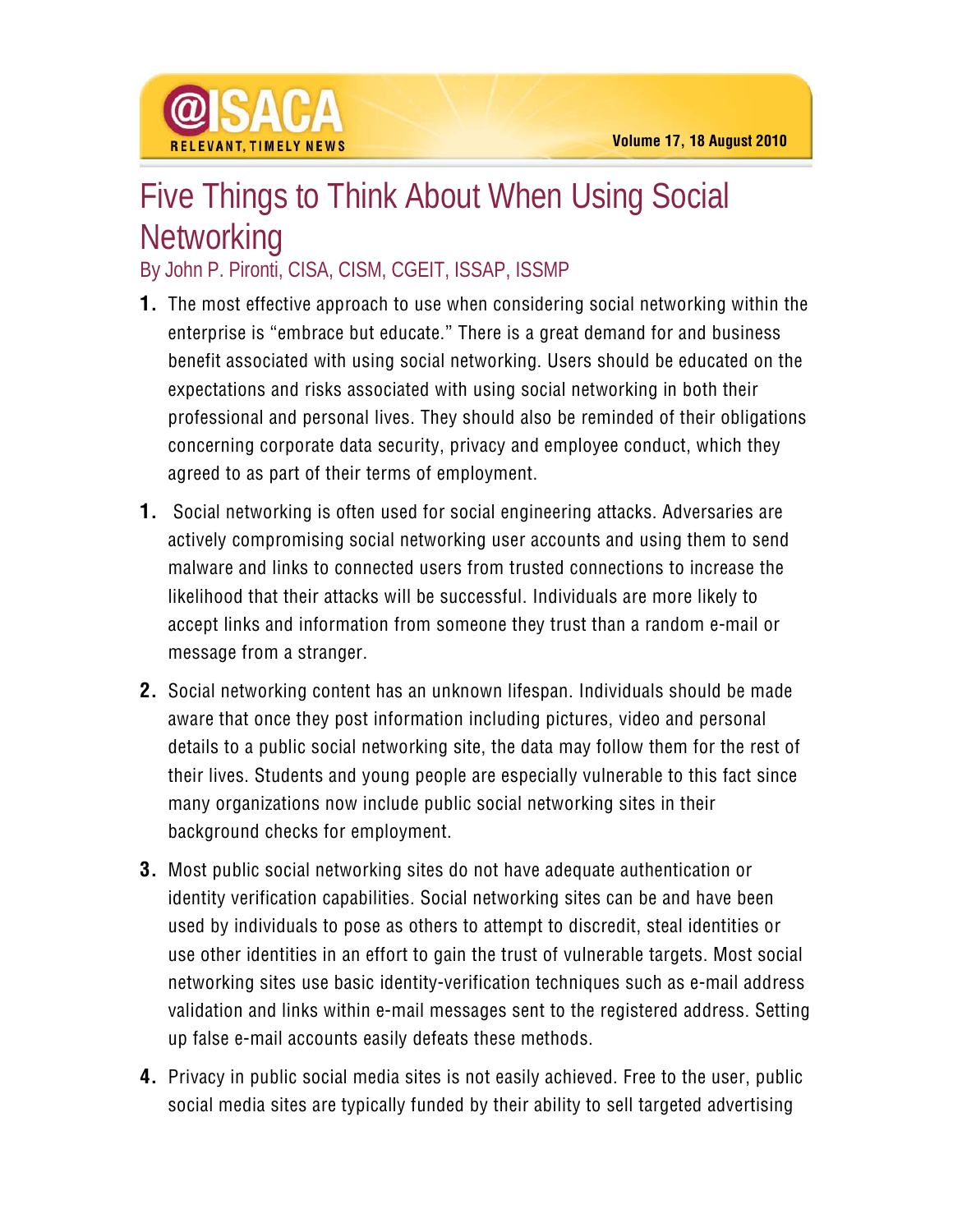

## Five Things to Think About When Using Social **Networking**

## By John P. Pironti, CISA, CISM, CGEIT, ISSAP, ISSMP

- **1.** The most effective approach to use when considering social networking within the enterprise is "embrace but educate." There is a great demand for and business benefit associated with using social networking. Users should be educated on the expectations and risks associated with using social networking in both their professional and personal lives. They should also be reminded of their obligations concerning corporate data security, privacy and employee conduct, which they agreed to as part of their terms of employment.
- **1.** Social networking is often used for social engineering attacks. Adversaries are actively compromising social networking user accounts and using them to send malware and links to connected users from trusted connections to increase the likelihood that their attacks will be successful. Individuals are more likely to accept links and information from someone they trust than a random e-mail or message from a stranger.
- **2.** Social networking content has an unknown lifespan. Individuals should be made aware that once they post information including pictures, video and personal details to a public social networking site, the data may follow them for the rest of their lives. Students and young people are especially vulnerable to this fact since many organizations now include public social networking sites in their background checks for employment.
- **3.** Most public social networking sites do not have adequate authentication or identity verification capabilities. Social networking sites can be and have been used by individuals to pose as others to attempt to discredit, steal identities or use other identities in an effort to gain the trust of vulnerable targets. Most social networking sites use basic identity-verification techniques such as e-mail address validation and links within e-mail messages sent to the registered address. Setting up false e-mail accounts easily defeats these methods.
- **4.** Privacy in public social media sites is not easily achieved. Free to the user, public social media sites are typically funded by their ability to sell targeted advertising